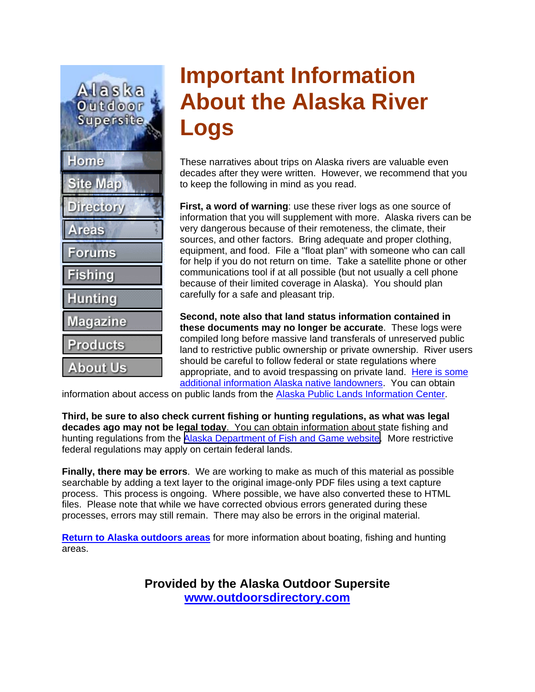Alaska Outdoor **Supersite** Home **Site Map Directory Areas Forums Fishing Hunting Magazine Products About Us** 

# **Important Information About the Alaska River Logs**

These narratives about trips on Alaska rivers are valuable even decades after they were written. However, we recommend that you to keep the following in mind as you read.

**First, a word of warning**: use these river logs as one source of information that you will supplement with more. Alaska rivers can be very dangerous because of their remoteness, the climate, their sources, and other factors. Bring adequate and proper clothing, equipment, and food. File a "float plan" with someone who can call for help if you do not return on time. Take a satellite phone or other communications tool if at all possible (but not usually a cell phone because of their limited coverage in Alaska). You should plan carefully for a safe and pleasant trip.

**Second, note also that land status information contained in these documents may no longer be accurate**. These logs were compiled long before massive land transferals of unreserved public land to restrictive public ownership or private ownership. River users should be careful to follow federal or state regulations where appropriate, and to avoid trespassing on private land. [Here is some](http://www.outdoorsdirectory.com/alaska-native-land-ownership.htm)  [additional information Alaska native landowners](http://www.outdoorsdirectory.com/alaska-native-land-ownership.htm). You can obtain

information about access on public lands from the [Alaska Public Lands Information Center](http://www.nps.gov/aplic/).

**Third, be sure to also check current fishing or hunting regulations, as what was legal decades ago may not be legal today**. You can obtain information about state fishing and hunting regulations from the [Alaska Department of Fish and Game website.](http://www.adfg.state.ak.us/) More restrictive federal regulations may apply on certain federal lands.

**Finally, there may be errors**. We are working to make as much of this material as possible searchable by adding a text layer to the original image-only PDF files using a text capture process. This process is ongoing. Where possible, we have also converted these to HTML files. Please note that while we have corrected obvious errors generated during these processes, errors may still remain. There may also be errors in the original material.

**[Return to Alaska outdoors areas](http://www.outdoorsdirectory.com/areas/)** for more information about boating, fishing and hunting areas.

> **Provided by the Alaska Outdoor Supersite [www.outdoorsdirectory.com](http://www.outdoorsdirectory.com/)**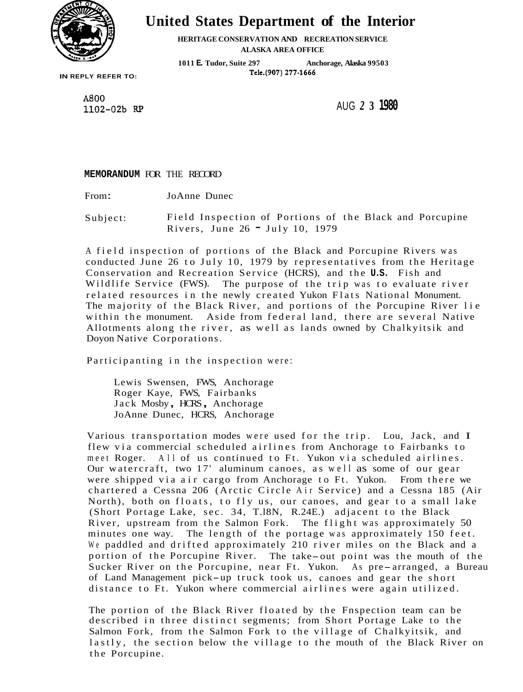

# **United States Department of the Interior**

**HERITAGE CONSERVATION AND RECREATlON SERVICE ALASKA AREA OFFICE** 

**1011 E.Tudor, Suite 297 Anchorage, Alaska 99503** 

**IN REPLY REFER TO:** 

A800 1102-02b RP

AUG *2* **3 1980** 

**MEMORANDUM** FOR THE RECORD

From: JoAnne Dunec

Subject: Field Inspection of Portions of the Black and Porcupine Rivers, June 26 - July 10, 1979

A field inspection of portions of the Black and Porcupine Rivers was conducted June 26 to July 10, 1979 by representatives from the Heritage Conservation and Recreation Service (HCRS), and the **U.S.** Fish and Wildlife Service (FWS). The purpose of the trip was to evaluate river related resources in the newly created Yukon Flats National Monument. The majority of the Black River, and portions of the Porcupine River lie within the monument. Aside from federal land, there are several Native Allotments along the river, as well as lands owned by Chalkyitsik and Doyon Native Corporations.

Participanting in the inspection were:

Lewis Swensen, FWS, Anchorage Roger Kaye, FWS, Fairbanks Jack Mosby, HCRS, Anchorage JoAnne Dunec, HCRS, Anchorage

Various transportation modes were used for the trip. Lou, Jack, and I flew via commercial scheduled airlines from Anchorage to Fairbanks to meet Roger. All of us continued to Ft. Yukon via scheduled airlines. Our watercraft, two 17' aluminum canoes, as well as some of our gear were shipped via air cargo from Anchorage to Ft. Yukon. From there we chartered a Cessna 206 (Arctic Circle Air Service) and a Cessna 185 (Air North), both on floats, to fly us, our canoes, and gear to a small lake (Short Portage Lake, sec. 34, T.l8N, R.24E.) adjacent to the Black River, upstream from the Salmon Fork. The flight was approximately 50 minutes one way. The length of the portage was approximately 150 feet. We paddled and drifted approximately 210 river miles on the Black and a portion of the Porcupine River. The take-out point was the mouth of the Sucker River on the Porcupine, near Ft. Yukon. As pre-arranged, a Bureau of Land Management pick-up truck took us, canoes and gear the short distance to Ft. Yukon where commercial airlines were again utilized.

The portion of the Black River floated by the Fnspection team can be described in three distinct segments; from Short Portage Lake to the Salmon Fork, from the Salmon Fork to the village of Chalkyitsik, and lastly, the section below the village to the mouth of the Black River on the Porcupine.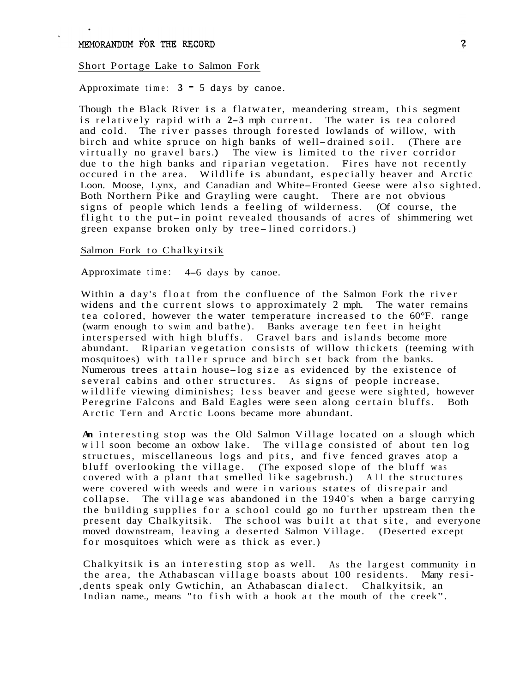#### Short Portage Lake to Salmon Fork

Approximate time:  $3 - 5$  days by canoe.

Though the Black River is a flatwater, meandering stream, this segment is relatively rapid with a **2-3** mph current. The water is tea colored The river passes through forested lowlands of willow, with birch and white spruce on high banks of well-drained soil. (There are virtually no gravel bars .) The view is limited to the river corridor due to the high banks and riparian vegetation. Fires have not recently occured in the area. Wildlife is abundant, especially beaver and Arctic Loon. Moose, Lynx, and Canadian and White-Fronted Geese were also sighted. Both Northern Pike and Grayling were caught. There are not obvious signs of people which lends a feeling of wilderness. (Of course, the flight to the put-in point revealed thousands of acres of shimmering wet green expanse broken only by tree-lined corridors.)

## Salmon Fork to Chalkyitsik

Approximate time: 4-6 days by canoe.

Within a day's float from the confluence of the Salmon Fork the river<br>widens and the current slows to approximately 2 mph. The water remains widens and the current slows to approximately 2 mph. tea colored, however the water temperature increased to the 60°F. range (warm enough to swim and bathe). Banks average ten feet in height interspersed with high bluffs. Gravel bars and islands become more abundant. Riparian vegetation consists of willow thickets (teeming with mosquitoes) with taller spruce and birch set back from the banks. <sup>N</sup>umerous trees attain house-log size as evidenced by the existence of several cabins and other structures. As signs of people increase, wildlife viewing diminishes; less beaver and geese were sighted, however Peregrine Falcons and Bald Eagles were seen along certain bluffs. Both Arctic Tern and Arctic Loons became more abundant.

**An** interesting stop was the Old Salmon Village located on a slough which will soon become an oxbow lake. The village consisted of about ten log structues, miscellaneous logs and pits, and five fenced graves atop a bluff overlooking the village. (The exposed slope of the bluff was covered with a plant that smelled like sagebrush.) All the structures were covered with weeds and were in various states of disrepair and collapse. The village was abandoned in the 1940's when a barge carrying the building supplies for a school could go no further upstream then the present day Chalkyitsik. The school was built at that site, and everyone moved downstream, leaving a deserted Salmon Village. (Deserted except for mosquitoes which were as thick as ever.)

Chalkyitsik is an interesting stop as well. As the largest community in the area, the Athabascan village boasts about 100 residents. Many resi- ,dents speak only Gwtichin, an Athabascan dialect. Chalkyitsik, an Indian name., means "to fish with a hook at the mouth of the creek".